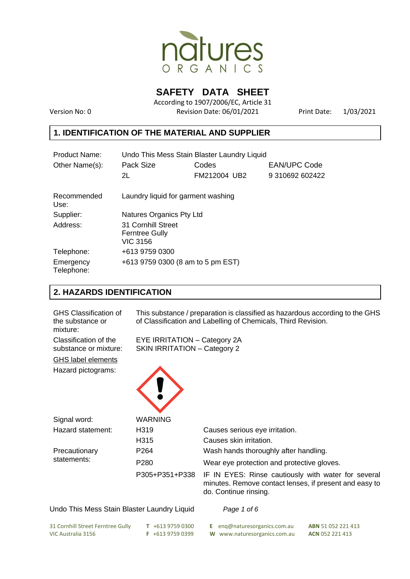

**SAFETY DATA SHEET** 

According to 1907/2006/EC, Article 31 Version No: 0 Revision Date: 06/01/2021 Print Date: 1/03/2021

# **1. IDENTIFICATION OF THE MATERIAL AND SUPPLIER**

| Product Name:           | Undo This Mess Stain Blaster Laundry Liquid                    |              |                     |  |
|-------------------------|----------------------------------------------------------------|--------------|---------------------|--|
| Other Name(s):          | Pack Size                                                      | Codes        | <b>EAN/UPC Code</b> |  |
|                         | 2L                                                             | FM212004 UB2 | 9 310692 602422     |  |
| Recommended<br>Use:     | Laundry liquid for garment washing                             |              |                     |  |
| Supplier:               | Natures Organics Pty Ltd                                       |              |                     |  |
| Address:                | 31 Cornhill Street<br><b>Ferntree Gully</b><br><b>VIC 3156</b> |              |                     |  |
| Telephone:              | +613 9759 0300                                                 |              |                     |  |
| Emergency<br>Telephone: | +613 9759 0300 (8 am to 5 pm EST)                              |              |                     |  |

## **2. HAZARDS IDENTIFICATION**

| <b>GHS Classification of</b><br>the substance or<br>mixture: | This substance / preparation is classified as hazardous according to the GHS<br>of Classification and Labelling of Chemicals, Third Revision. |                                                                                                                                        |  |  |
|--------------------------------------------------------------|-----------------------------------------------------------------------------------------------------------------------------------------------|----------------------------------------------------------------------------------------------------------------------------------------|--|--|
| Classification of the<br>substance or mixture:               | EYE IRRITATION - Category 2A<br><b>SKIN IRRITATION - Category 2</b>                                                                           |                                                                                                                                        |  |  |
| GHS label elements                                           |                                                                                                                                               |                                                                                                                                        |  |  |
| Hazard pictograms:                                           |                                                                                                                                               |                                                                                                                                        |  |  |
| Signal word:                                                 | <b>WARNING</b>                                                                                                                                |                                                                                                                                        |  |  |
| Hazard statement:                                            | H319                                                                                                                                          | Causes serious eye irritation.                                                                                                         |  |  |
|                                                              | H315                                                                                                                                          | Causes skin irritation.                                                                                                                |  |  |
| Precautionary                                                | P <sub>264</sub>                                                                                                                              | Wash hands thoroughly after handling.                                                                                                  |  |  |
| statements:                                                  | P <sub>280</sub>                                                                                                                              | Wear eye protection and protective gloves.                                                                                             |  |  |
|                                                              | P305+P351+P338                                                                                                                                | IF IN EYES: Rinse cautiously with water for several<br>minutes. Remove contact lenses, if present and easy to<br>do. Continue rinsing. |  |  |

#### Undo This Mess Stain Blaster Laundry Liquid *Page 1 of 6*

| 31 Cornhill Street Ferntree Gully | $T + 61397590300$ | <b>E</b> eng@naturesorganics.com.au | <b>ABN</b> 51 052 221 413 |
|-----------------------------------|-------------------|-------------------------------------|---------------------------|
| VIC Australia 3156                | $F + 61397590399$ | W www.naturesorganics.com.au        | <b>ACN</b> 052 221 413    |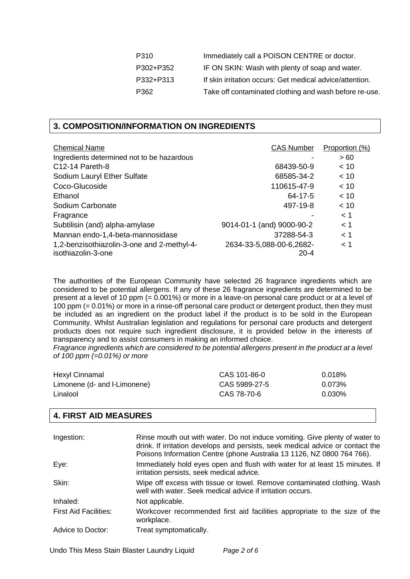| P310      | Immediately call a POISON CENTRE or doctor.              |
|-----------|----------------------------------------------------------|
| P302+P352 | IF ON SKIN: Wash with plenty of soap and water.          |
| P332+P313 | If skin irritation occurs: Get medical advice/attention. |
| P362      | Take off contaminated clothing and wash before re-use.   |

## **3. COMPOSITION/INFORMATION ON INGREDIENTS**

| <b>Chemical Name</b>                       | <b>CAS Number</b>         | Proportion (%) |
|--------------------------------------------|---------------------------|----------------|
| Ingredients determined not to be hazardous |                           | >60            |
| C12-14 Pareth-8                            | 68439-50-9                | < 10           |
|                                            |                           |                |
| Sodium Lauryl Ether Sulfate                | 68585-34-2                | < 10           |
| Coco-Glucoside                             | 110615-47-9               | < 10           |
| Ethanol                                    | 64-17-5                   | < 10           |
| Sodium Carbonate                           | 497-19-8                  | ~< 10          |
| Fragrance                                  |                           | < 1            |
| Subtilisin (and) alpha-amylase             | 9014-01-1 (and) 9000-90-2 | < 1            |
| Mannan endo-1,4-beta-mannosidase           | 37288-54-3                | < 1            |
| 1,2-benzisothiazolin-3-one and 2-methyl-4- | 2634-33-5,088-00-6,2682-  | < 1            |
| isothiazolin-3-one                         | $20 - 4$                  |                |

The authorities of the European Community have selected 26 fragrance ingredients which are considered to be potential allergens. If any of these 26 fragrance ingredients are determined to be present at a level of 10 ppm (= 0.001%) or more in a leave-on personal care product or at a level of 100 ppm (= 0.01%) or more in a rinse-off personal care product or detergent product, then they must be included as an ingredient on the product label if the product is to be sold in the European Community. Whilst Australian legislation and regulations for personal care products and detergent products does not require such ingredient disclosure, it is provided below in the interests of transparency and to assist consumers in making an informed choice.

*Fragrance ingredients which are considered to be potential allergens present in the product at a level of 100 ppm (=0.01%) or more*

| Hexyl Cinnamal               | CAS 101-86-0  | 0.018% |
|------------------------------|---------------|--------|
| Limonene (d- and I-Limonene) | CAS 5989-27-5 | 0.073% |
| Linalool                     | CAS 78-70-6   | 0.030% |

## **4. FIRST AID MEASURES**

| Ingestion:                   | Rinse mouth out with water. Do not induce vomiting. Give plenty of water to<br>drink. If irritation develops and persists, seek medical advice or contact the<br>Poisons Information Centre (phone Australia 13 1126, NZ 0800 764 766). |
|------------------------------|-----------------------------------------------------------------------------------------------------------------------------------------------------------------------------------------------------------------------------------------|
| Eye:                         | Immediately hold eyes open and flush with water for at least 15 minutes. If<br>irritation persists, seek medical advice.                                                                                                                |
| Skin:                        | Wipe off excess with tissue or towel. Remove contaminated clothing. Wash<br>well with water. Seek medical advice if irritation occurs.                                                                                                  |
| Inhaled:                     | Not applicable.                                                                                                                                                                                                                         |
| <b>First Aid Facilities:</b> | Workcover recommended first aid facilities appropriate to the size of the<br>workplace.                                                                                                                                                 |
| Advice to Doctor:            | Treat symptomatically.                                                                                                                                                                                                                  |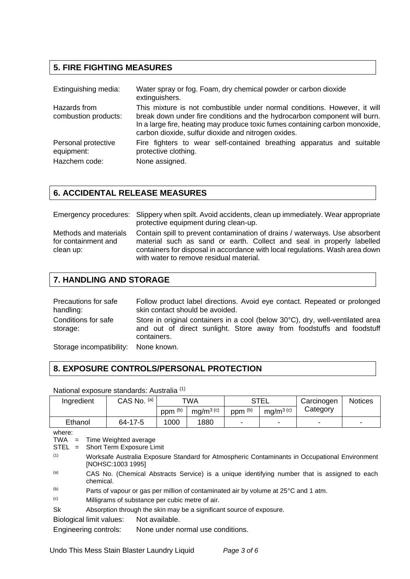# **5. FIRE FIGHTING MEASURES**

| Extinguishing media:                 | Water spray or fog. Foam, dry chemical powder or carbon dioxide<br>extinguishers.                                                                                                                                                                                                             |  |  |
|--------------------------------------|-----------------------------------------------------------------------------------------------------------------------------------------------------------------------------------------------------------------------------------------------------------------------------------------------|--|--|
| Hazards from<br>combustion products: | This mixture is not combustible under normal conditions. However, it will<br>break down under fire conditions and the hydrocarbon component will burn.<br>In a large fire, heating may produce toxic fumes containing carbon monoxide,<br>carbon dioxide, sulfur dioxide and nitrogen oxides. |  |  |
| Personal protective<br>equipment:    | Fire fighters to wear self-contained breathing apparatus and suitable<br>protective clothing.                                                                                                                                                                                                 |  |  |
| Hazchem code:                        | None assigned.                                                                                                                                                                                                                                                                                |  |  |

# **6. ACCIDENTAL RELEASE MEASURES**

|                                                           | Emergency procedures: Slippery when spilt. Avoid accidents, clean up immediately. Wear appropriate<br>protective equipment during clean-up.                                                                                                                                     |
|-----------------------------------------------------------|---------------------------------------------------------------------------------------------------------------------------------------------------------------------------------------------------------------------------------------------------------------------------------|
| Methods and materials<br>for containment and<br>clean up: | Contain spill to prevent contamination of drains / waterways. Use absorbent<br>material such as sand or earth. Collect and seal in properly labelled<br>containers for disposal in accordance with local regulations. Wash area down<br>with water to remove residual material. |

## **7. HANDLING AND STORAGE**

| Precautions for safe<br>handling:    | Follow product label directions. Avoid eye contact. Repeated or prolonged<br>skin contact should be avoided.                                                          |
|--------------------------------------|-----------------------------------------------------------------------------------------------------------------------------------------------------------------------|
| Conditions for safe<br>storage:      | Store in original containers in a cool (below 30°C), dry, well-ventilated area<br>and out of direct sunlight. Store away from foodstuffs and foodstuff<br>containers. |
| Storage incompatibility: None known. |                                                                                                                                                                       |

# **8. EXPOSURE CONTROLS/PERSONAL PROTECTION**

National exposure standards: Australia (1)

| Ingredient            |                                                                                                                    | CAS No. (a) | TWA                |             | <b>STEL</b>        |                 | Carcinogen | <b>Notices</b> |
|-----------------------|--------------------------------------------------------------------------------------------------------------------|-------------|--------------------|-------------|--------------------|-----------------|------------|----------------|
|                       |                                                                                                                    |             | ppm <sup>(b)</sup> | mg/m $3(c)$ | ppm <sup>(b)</sup> | mg/m $^{3}$ (c) | Category   |                |
| Ethanol               |                                                                                                                    | 64-17-5     | 1000               | 1880        |                    |                 |            |                |
| where:<br>TWA<br>STEL | $=$ Time Weighted average<br>= Short Term Exposure Limit                                                           |             |                    |             |                    |                 |            |                |
| (1)                   | Worksafe Australia Exposure Standard for Atmospheric Contaminants in Occupational Environment<br>[NOHSC:1003 1995] |             |                    |             |                    |                 |            |                |
| (a)                   | CAS No. (Chemical Abstracts Service) is a unique identifying number that is assigned to each<br>chemical.          |             |                    |             |                    |                 |            |                |

(b) Parts of vapour or gas per million of contaminated air by volume at 25°C and 1 atm.

(c) Milligrams of substance per cubic metre of air.

Sk Absorption through the skin may be a significant source of exposure.

Biological limit values: Not available.

Engineering controls: None under normal use conditions.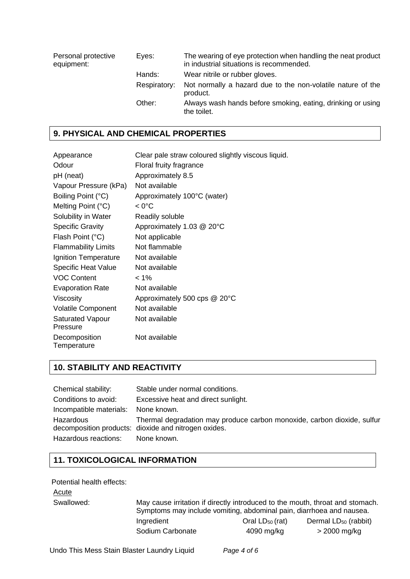| Personal protective<br>equipment: | Eyes:        | The wearing of eye protection when handling the neat product<br>in industrial situations is recommended. |
|-----------------------------------|--------------|----------------------------------------------------------------------------------------------------------|
|                                   | Hands:       | Wear nitrile or rubber gloves.                                                                           |
|                                   | Respiratory: | Not normally a hazard due to the non-volatile nature of the<br>product.                                  |
|                                   | Other:       | Always wash hands before smoking, eating, drinking or using<br>the toilet.                               |

# **9. PHYSICAL AND CHEMICAL PROPERTIES**

| Appearance                   | Clear pale straw coloured slightly viscous liquid. |
|------------------------------|----------------------------------------------------|
| Odour                        | Floral fruity fragrance                            |
| pH (neat)                    | Approximately 8.5                                  |
| Vapour Pressure (kPa)        | Not available                                      |
| Boiling Point (°C)           | Approximately 100°C (water)                        |
| Melting Point (°C)           | < 0°C                                              |
| Solubility in Water          | Readily soluble                                    |
| <b>Specific Gravity</b>      | Approximately 1.03 @ 20°C                          |
| Flash Point (°C)             | Not applicable                                     |
| <b>Flammability Limits</b>   | Not flammable                                      |
| Ignition Temperature         | Not available                                      |
| <b>Specific Heat Value</b>   | Not available                                      |
| <b>VOC Content</b>           | $< 1\%$                                            |
| <b>Evaporation Rate</b>      | Not available                                      |
| Viscosity                    | Approximately 500 cps @ 20°C                       |
| <b>Volatile Component</b>    | Not available                                      |
| Saturated Vapour<br>Pressure | Not available                                      |
| Decomposition<br>Temperature | Not available                                      |

# **10. STABILITY AND REACTIVITY**

| Chemical stability:                 | Stable under normal conditions.                                                                                                 |
|-------------------------------------|---------------------------------------------------------------------------------------------------------------------------------|
| Conditions to avoid:                | Excessive heat and direct sunlight.                                                                                             |
| Incompatible materials: None known. |                                                                                                                                 |
| Hazardous                           | Thermal degradation may produce carbon monoxide, carbon dioxide, sulfur<br>decomposition products: dioxide and nitrogen oxides. |
| Hazardous reactions:                | None known.                                                                                                                     |

# **11. TOXICOLOGICAL INFORMATION**

### Potential health effects:

| ACUTE |
|-------|
|-------|

| Swallowed: |                  | May cause irritation if directly introduced to the mouth, throat and stomach.<br>Symptoms may include vomiting, abdominal pain, diarrhoea and nausea. |                           |  |
|------------|------------------|-------------------------------------------------------------------------------------------------------------------------------------------------------|---------------------------|--|
|            | Ingredient       | Oral $LD_{50}$ (rat)                                                                                                                                  | Dermal $LD_{50}$ (rabbit) |  |
|            | Sodium Carbonate | 4090 mg/kg                                                                                                                                            | > 2000 mg/kg              |  |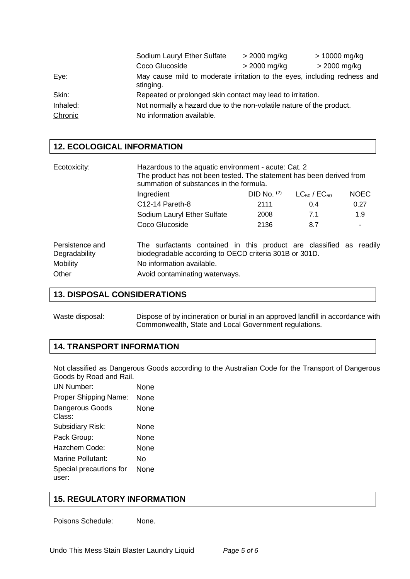|          | Sodium Lauryl Ether Sulfate                                                           | $>$ 2000 mg/kg | > 10000 mg/kg  |
|----------|---------------------------------------------------------------------------------------|----------------|----------------|
|          | Coco Glucoside                                                                        | $>$ 2000 mg/kg | $>$ 2000 mg/kg |
| Eye:     | May cause mild to moderate irritation to the eyes, including redness and<br>stinging. |                |                |
| Skin:    | Repeated or prolonged skin contact may lead to irritation.                            |                |                |
| Inhaled: | Not normally a hazard due to the non-volatile nature of the product.                  |                |                |
| Chronic  | No information available.                                                             |                |                |

## **12. ECOLOGICAL INFORMATION**

| Ecotoxicity:                                                 | Hazardous to the aquatic environment - acute: Cat. 2<br>The product has not been tested. The statement has been derived from<br>summation of substances in the formula.                      |               |                       |             |
|--------------------------------------------------------------|----------------------------------------------------------------------------------------------------------------------------------------------------------------------------------------------|---------------|-----------------------|-------------|
|                                                              | Ingredient                                                                                                                                                                                   | DID No. $(2)$ | $LC_{50}$ / $EC_{50}$ | <b>NOEC</b> |
|                                                              | C <sub>12</sub> -14 Pareth-8                                                                                                                                                                 | 2111          | 0.4                   | 0.27        |
|                                                              | Sodium Lauryl Ether Sulfate                                                                                                                                                                  | 2008          | 7.1                   | 1.9         |
|                                                              | Coco Glucoside                                                                                                                                                                               | 2136          | 8.7                   |             |
| Persistence and<br>Degradability<br><b>Mobility</b><br>Other | The surfactants contained in this product are classified as readily<br>biodegradable according to OECD criteria 301B or 301D.<br>No information available.<br>Avoid contaminating waterways. |               |                       |             |

## **13. DISPOSAL CONSIDERATIONS**

Waste disposal: Dispose of by incineration or burial in an approved landfill in accordance with Commonwealth, State and Local Government regulations.

## **14. TRANSPORT INFORMATION**

Not classified as Dangerous Goods according to the Australian Code for the Transport of Dangerous Goods by Road and Rail.

| None |
|------|
| None |
| None |
| None |
| None |
| None |
| N٥   |
| None |
|      |

## **15. REGULATORY INFORMATION**

Poisons Schedule: None.